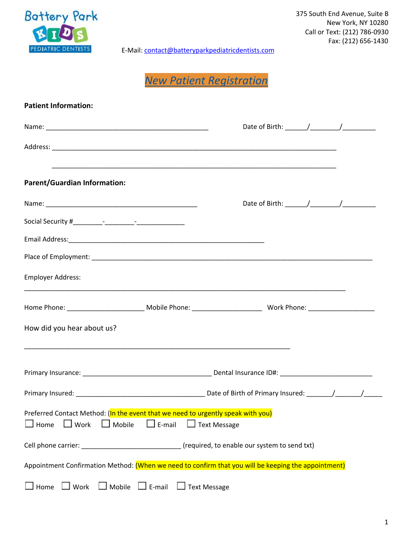

375 South End Avenue, Suite B New York, NY 10280 Call or Text: (212) 786-0930 Fax: (212) 656-1430

E-Mail: [contact@batteryparkpediatricdentists.com](mailto:contact@batteryparkpediatricdentists.com)

*New Patient Registration*

| <b>Patient Information:</b>                                                                                                                                         |  |  |  |  |
|---------------------------------------------------------------------------------------------------------------------------------------------------------------------|--|--|--|--|
|                                                                                                                                                                     |  |  |  |  |
|                                                                                                                                                                     |  |  |  |  |
| <b>Parent/Guardian Information:</b>                                                                                                                                 |  |  |  |  |
|                                                                                                                                                                     |  |  |  |  |
|                                                                                                                                                                     |  |  |  |  |
|                                                                                                                                                                     |  |  |  |  |
|                                                                                                                                                                     |  |  |  |  |
| <b>Employer Address:</b>                                                                                                                                            |  |  |  |  |
|                                                                                                                                                                     |  |  |  |  |
| How did you hear about us?                                                                                                                                          |  |  |  |  |
|                                                                                                                                                                     |  |  |  |  |
|                                                                                                                                                                     |  |  |  |  |
| Preferred Contact Method: (In the event that we need to urgently speak with you)<br>$\Box$ E-mail<br>$\Box$ Mobile<br>$\Box$ Text Message<br>Home<br>$\square$ Work |  |  |  |  |
| Cell phone carrier: __________________________________ (required, to enable our system to send txt)                                                                 |  |  |  |  |
| Appointment Confirmation Method: (When we need to confirm that you will be keeping the appointment)                                                                 |  |  |  |  |
| $\Box$ Mobile $\Box$ E-mail<br>$\Box$ Text Message<br>$\Box$ Work<br>Home                                                                                           |  |  |  |  |